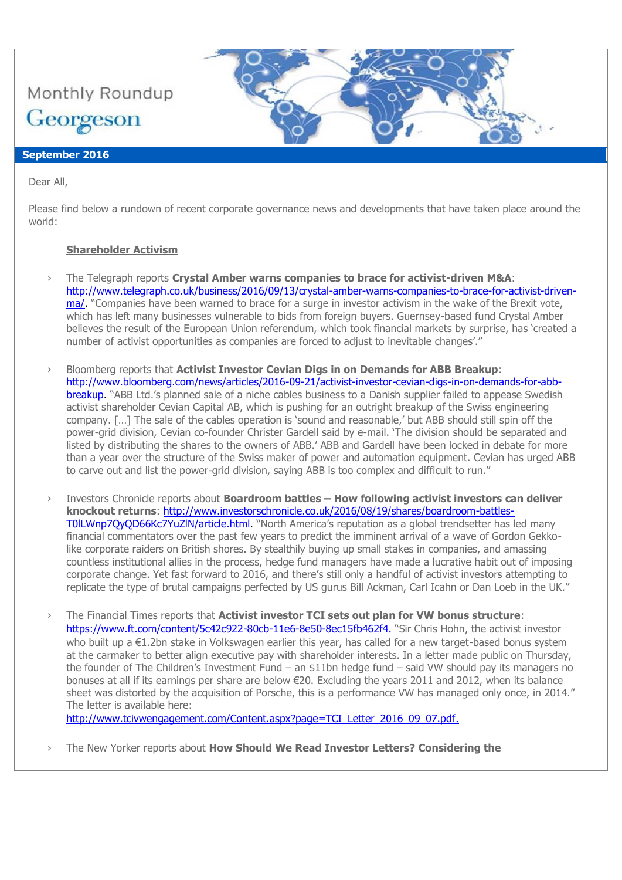

# **September 2016**

Dear All,

Please find below a rundown of recent corporate governance news and developments that have taken place around the world:

### **Shareholder Activism**

- › The Telegraph reports **Crystal Amber warns companies to brace for activist-driven M&A**: [http://www.telegraph.co.uk/business/2016/09/13/crystal-amber-warns-companies-to-brace-for-activist-driven](http://www.telegraph.co.uk/business/2016/09/13/crystal-amber-warns-companies-to-brace-for-activist-driven-ma/)[ma/.](http://www.telegraph.co.uk/business/2016/09/13/crystal-amber-warns-companies-to-brace-for-activist-driven-ma/) "Companies have been warned to brace for a surge in investor activism in the wake of the Brexit vote, which has left many businesses vulnerable to bids from foreign buyers. Guernsey-based fund Crystal Amber believes the result of the European Union referendum, which took financial markets by surprise, has 'created a number of activist opportunities as companies are forced to adjust to inevitable changes'."
- › Bloomberg reports that **Activist Investor Cevian Digs in on Demands for ABB Breakup**: [http://www.bloomberg.com/news/articles/2016-09-21/activist-investor-cevian-digs-in-on-demands-for-abb](http://www.bloomberg.com/news/articles/2016-09-21/activist-investor-cevian-digs-in-on-demands-for-abb-breakup)[breakup.](http://www.bloomberg.com/news/articles/2016-09-21/activist-investor-cevian-digs-in-on-demands-for-abb-breakup) "ABB Ltd.'s planned sale of a niche cables business to a Danish supplier failed to appease Swedish activist shareholder Cevian Capital AB, which is pushing for an outright breakup of the Swiss engineering company. […] The sale of the cables operation is 'sound and reasonable,' but ABB should still spin off the power-grid division, Cevian co-founder Christer Gardell said by e-mail. 'The division should be separated and listed by distributing the shares to the owners of ABB.' ABB and Gardell have been locked in debate for more than a year over the structure of the Swiss maker of power and automation equipment. Cevian has urged ABB to carve out and list the power-grid division, saying ABB is too complex and difficult to run."
- › Investors Chronicle reports about **Boardroom battles – How following activist investors can deliver knockout returns**: [http://www.investorschronicle.co.uk/2016/08/19/shares/boardroom-battles-](http://www.investorschronicle.co.uk/2016/08/19/shares/boardroom-battles-T0lLWnp7QyQD66Kc7YuZlN/article.html)[T0lLWnp7QyQD66Kc7YuZlN/article.html.](http://www.investorschronicle.co.uk/2016/08/19/shares/boardroom-battles-T0lLWnp7QyQD66Kc7YuZlN/article.html) "North America's reputation as a global trendsetter has led many financial commentators over the past few years to predict the imminent arrival of a wave of Gordon Gekkolike corporate raiders on British shores. By stealthily buying up small stakes in companies, and amassing countless institutional allies in the process, hedge fund managers have made a lucrative habit out of imposing corporate change. Yet fast forward to 2016, and there's still only a handful of activist investors attempting to replicate the type of brutal campaigns perfected by US gurus Bill Ackman, Carl Icahn or Dan Loeb in the UK."
- › The Financial Times reports that **Activist investor TCI sets out plan for VW bonus structure**: <https://www.ft.com/content/5c42c922-80cb-11e6-8e50-8ec15fb462f4>. "Sir Chris Hohn, the activist investor who built up a €1.2bn stake in Volkswagen earlier this year, has called for a new target-based bonus system at the carmaker to better align executive pay with shareholder interests. In a letter made public on Thursday, the founder of The Children's Investment Fund – an \$11bn hedge fund – said VW should pay its managers no bonuses at all if its earnings per share are below €20. Excluding the years 2011 and 2012, when its balance sheet was distorted by the acquisition of Porsche, this is a performance VW has managed only once, in 2014." The letter is available here:

[http://www.tcivwengagement.com/Content.aspx?page=TCI\\_Letter\\_2016\\_09\\_07.pdf](http://www.tcivwengagement.com/Content.aspx?page=TCI_Letter_2016_09_07.pdf).

› The New Yorker reports about **How Should We Read Investor Letters? Considering the**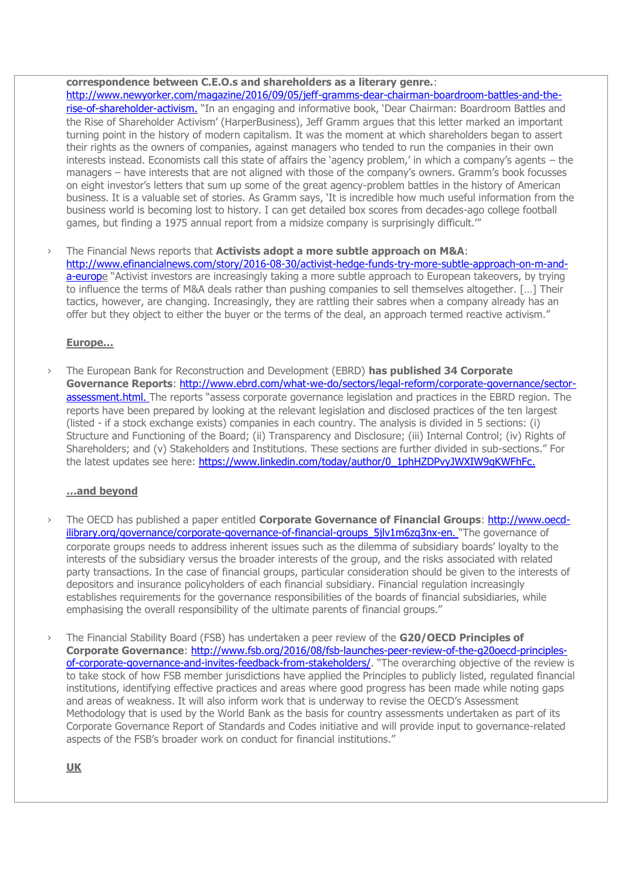**correspondence between C.E.O.s and shareholders as a literary genre.**: [http://www.newyorker.com/magazine/2016/09/05/jeff-gramms-dear-chairman-boardroom-battles-and-the](http://www.newyorker.com/magazine/2016/09/05/jeff-gramms-dear-chairman-boardroom-battles-and-the-rise-of-shareholder-activism)[rise-of-shareholder-activism](http://www.newyorker.com/magazine/2016/09/05/jeff-gramms-dear-chairman-boardroom-battles-and-the-rise-of-shareholder-activism). "In an engaging and informative book, 'Dear Chairman: Boardroom Battles and the Rise of Shareholder Activism' (HarperBusiness), Jeff Gramm argues that this letter marked an important turning point in the history of modern capitalism. It was the moment at which shareholders began to assert their rights as the owners of companies, against managers who tended to run the companies in their own interests instead. Economists call this state of affairs the 'agency problem,' in which a company's agents – the managers – have interests that are not aligned with those of the company's owners. Gramm's book focusses on eight investor's letters that sum up some of the great agency-problem battles in the history of American business. It is a valuable set of stories. As Gramm says, 'It is incredible how much useful information from the business world is becoming lost to history. I can get detailed box scores from decades-ago college football games, but finding a 1975 annual report from a midsize company is surprisingly difficult.<sup>""</sup>

› The Financial News reports that **Activists adopt a more subtle approach on M&A**: [http://www.efinancialnews.com/story/2016-08-30/activist-hedge-funds-try-more-subtle-approach-on-m-and](http://www.efinancialnews.com/story/2016-08-30/activist-hedge-funds-try-more-subtle-approach-on-m-and-a-europe)[a-europe](http://www.efinancialnews.com/story/2016-08-30/activist-hedge-funds-try-more-subtle-approach-on-m-and-a-europe) "Activist investors are increasingly taking a more subtle approach to European takeovers, by trying to influence the terms of M&A deals rather than pushing companies to sell themselves altogether. […] Their tactics, however, are changing. Increasingly, they are rattling their sabres when a company already has an offer but they object to either the buyer or the terms of the deal, an approach termed reactive activism."

### **Europe…**

› The European Bank for Reconstruction and Development (EBRD) **has published 34 Corporate Governance Reports**: [http://www.ebrd.com/what-we-do/sectors/legal-reform/corporate-governance/sector](http://www.ebrd.com/what-we-do/sectors/legal-reform/corporate-governance/sector-assessment.html)[assessment.html](http://www.ebrd.com/what-we-do/sectors/legal-reform/corporate-governance/sector-assessment.html). The reports "assess corporate governance legislation and practices in the EBRD region. The reports have been prepared by looking at the relevant legislation and disclosed practices of the ten largest (listed - if a stock exchange exists) companies in each country. The analysis is divided in 5 sections: (i) Structure and Functioning of the Board; (ii) Transparency and Disclosure; (iii) Internal Control; (iv) Rights of Shareholders; and (v) Stakeholders and Institutions. These sections are further divided in sub-sections." For the latest updates see here: [https://www.linkedin.com/today/author/0\\_1phHZDPvyJWXIW9qKWFhFc](https://www.linkedin.com/today/author/0_1phHZDPvyJWXIW9qKWFhFc).

#### **…and beyond**

- › The OECD has published a paper entitled **Corporate Governance of Financial Groups**: [http://www.oecd](http://www.oecd-ilibrary.org/governance/corporate-governance-of-financial-groups_5jlv1m6zq3nx-en)ilibrary.org/governance/corporate-governance-of-financial-groups\_5jlv1m6zg3nx-en. "The governance of corporate groups needs to address inherent issues such as the dilemma of subsidiary boards' loyalty to the interests of the subsidiary versus the broader interests of the group, and the risks associated with related party transactions. In the case of financial groups, particular consideration should be given to the interests of depositors and insurance policyholders of each financial subsidiary. Financial regulation increasingly establishes requirements for the governance responsibilities of the boards of financial subsidiaries, while emphasising the overall responsibility of the ultimate parents of financial groups."
- › The Financial Stability Board (FSB) has undertaken a peer review of the **G20/OECD Principles of Corporate Governance**: [http://www.fsb.org/2016/08/fsb-launches-peer-review-of-the-g20oecd-principles](http://www.fsb.org/2016/08/fsb-launches-peer-review-of-the-g20oecd-principles-of-corporate-governance-and-invites-feedback-from-stakeholders/)[of-corporate-governance-and-invites-feedback-from-stakeholders/](http://www.fsb.org/2016/08/fsb-launches-peer-review-of-the-g20oecd-principles-of-corporate-governance-and-invites-feedback-from-stakeholders/). "The overarching objective of the review is to take stock of how FSB member jurisdictions have applied the Principles to publicly listed, regulated financial institutions, identifying effective practices and areas where good progress has been made while noting gaps and areas of weakness. It will also inform work that is underway to revise the OECD's Assessment Methodology that is used by the World Bank as the basis for country assessments undertaken as part of its Corporate Governance Report of Standards and Codes initiative and will provide input to governance-related aspects of the FSB's broader work on conduct for financial institutions."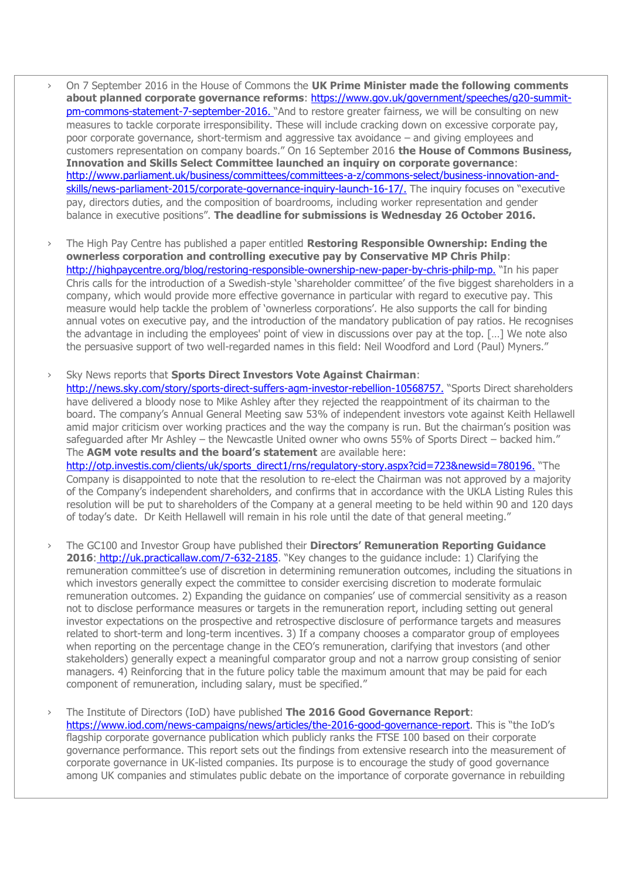- › On 7 September 2016 in the House of Commons the **UK Prime Minister made the following comments about planned corporate governance reforms**: [https://www.gov.uk/government/speeches/g20-summit](https://www.gov.uk/government/speeches/g20-summit-pm-commons-statement-7-september-2016)[pm-commons-statement-7-september-2016](https://www.gov.uk/government/speeches/g20-summit-pm-commons-statement-7-september-2016). "And to restore greater fairness, we will be consulting on new measures to tackle corporate irresponsibility. These will include cracking down on excessive corporate pay, poor corporate governance, short-termism and aggressive tax avoidance – and giving employees and customers representation on company boards." On 16 September 2016 **the House of Commons Business, Innovation and Skills Select Committee launched an inquiry on corporate governance**: [http://www.parliament.uk/business/committees/committees-a-z/commons-select/business-innovation-and](http://www.parliament.uk/business/committees/committees-a-z/commons-select/business-innovation-and-skills/news-parliament-2015/corporate-governance-inquiry-launch-16-17/)[skills/news-parliament-2015/corporate-governance-inquiry-launch-16-17/](http://www.parliament.uk/business/committees/committees-a-z/commons-select/business-innovation-and-skills/news-parliament-2015/corporate-governance-inquiry-launch-16-17/). The inquiry focuses on "executive pay, directors duties, and the composition of boardrooms, including worker representation and gender balance in executive positions". **The deadline for submissions is Wednesday 26 October 2016.**
- › The High Pay Centre has published a paper entitled **Restoring Responsible Ownership: Ending the ownerless corporation and controlling executive pay by Conservative MP Chris Philp**: <http://highpaycentre.org/blog/restoring-responsible-ownership-new-paper-by-chris-philp-mp>. "In his paper Chris calls for the introduction of a Swedish-style 'shareholder committee' of the five biggest shareholders in a company, which would provide more effective governance in particular with regard to executive pay. This measure would help tackle the problem of 'ownerless corporations'. He also supports the call for binding annual votes on executive pay, and the introduction of the mandatory publication of pay ratios. He recognises the advantage in including the employees' point of view in discussions over pay at the top. […] We note also the persuasive support of two well-regarded names in this field: Neil Woodford and Lord (Paul) Myners."
- › Sky News reports that **Sports Direct Investors Vote Against Chairman**: <http://news.sky.com/story/sports-direct-suffers-agm-investor-rebellion-10568757>. "Sports Direct shareholders have delivered a bloody nose to Mike Ashley after they rejected the reappointment of its chairman to the board. The company's Annual General Meeting saw 53% of independent investors vote against Keith Hellawell amid major criticism over working practices and the way the company is run. But the chairman's position was safeguarded after Mr Ashley – the Newcastle United owner who owns 55% of Sports Direct – backed him." The **AGM vote results and the board's statement** are available here: [http://otp.investis.com/clients/uk/sports\\_direct1/rns/regulatory-story.aspx?cid=723&newsid=780196](http://otp.investis.com/clients/uk/sports_direct1/rns/regulatory-story.aspx?cid=723&newsid=780196). "The Company is disappointed to note that the resolution to re-elect the Chairman was not approved by a majority of the Company's independent shareholders, and confirms that in accordance with the UKLA Listing Rules this resolution will be put to shareholders of the Company at a general meeting to be held within 90 and 120 days of today's date. Dr Keith Hellawell will remain in his role until the date of that general meeting."
- › The GC100 and Investor Group have published their **Directors' Remuneration Reporting Guidance**  2016: <http://uk.practicallaw.com/7-632-2185>. "Key changes to the guidance include: 1) Clarifying the remuneration committee's use of discretion in determining remuneration outcomes, including the situations in which investors generally expect the committee to consider exercising discretion to moderate formulaic remuneration outcomes. 2) Expanding the guidance on companies' use of commercial sensitivity as a reason not to disclose performance measures or targets in the remuneration report, including setting out general investor expectations on the prospective and retrospective disclosure of performance targets and measures related to short-term and long-term incentives. 3) If a company chooses a comparator group of employees when reporting on the percentage change in the CEO's remuneration, clarifying that investors (and other stakeholders) generally expect a meaningful comparator group and not a narrow group consisting of senior managers. 4) Reinforcing that in the future policy table the maximum amount that may be paid for each component of remuneration, including salary, must be specified."
- › The Institute of Directors (IoD) have published **The 2016 Good Governance Report**: https://www.jod.com/news-campaigns/news/articles/the-2016-good-governance-report. This is "the IoD's flagship corporate governance publication which publicly ranks the FTSE 100 based on their corporate governance performance. This report sets out the findings from extensive research into the measurement of corporate governance in UK-listed companies. Its purpose is to encourage the study of good governance among UK companies and stimulates public debate on the importance of corporate governance in rebuilding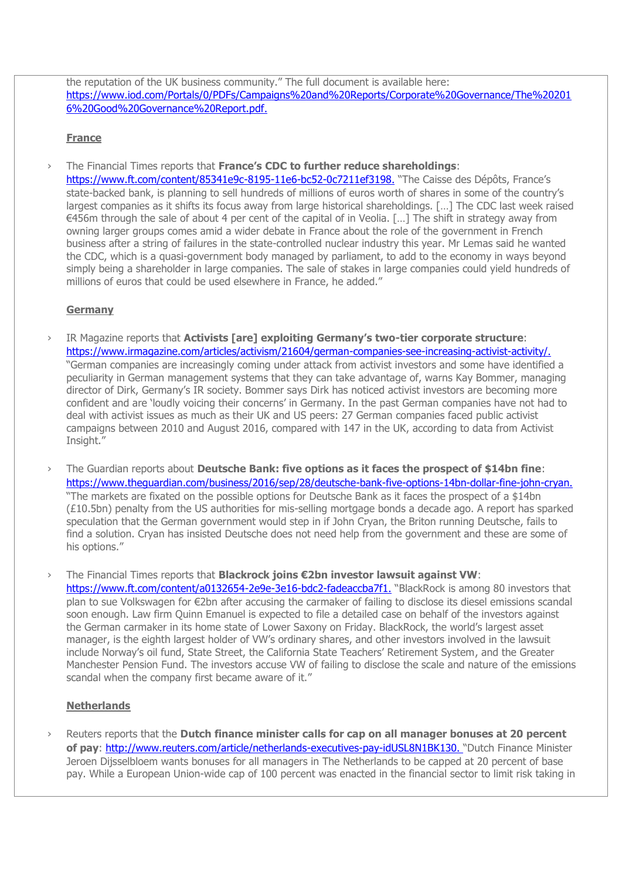the reputation of the UK business community." The full document is available here: [https://www.iod.com/Portals/0/PDFs/Campaigns%20and%20Reports/Corporate%20Governance/The%20201](https://www.iod.com/Portals/0/PDFs/Campaigns%20and%20Reports/Corporate%20Governance/The%202016%20Good%20Governance%20Report.pdf) [6%20Good%20Governance%20Report.pdf](https://www.iod.com/Portals/0/PDFs/Campaigns%20and%20Reports/Corporate%20Governance/The%202016%20Good%20Governance%20Report.pdf).

#### **France**

› The Financial Times reports that **France's CDC to further reduce shareholdings**:

<https://www.ft.com/content/85341e9c-8195-11e6-bc52-0c7211ef3198>. "The Caisse des Dépôts, France's state-backed bank, is planning to sell hundreds of millions of euros worth of shares in some of the country's largest companies as it shifts its focus away from large historical shareholdings. […] The CDC last week raised €456m through the sale of about 4 per cent of the capital of in Veolia. […] The shift in strategy away from owning larger groups comes amid a wider debate in France about the role of the government in French business after a string of failures in the state-controlled nuclear industry this year. Mr Lemas said he wanted the CDC, which is a quasi-government body managed by parliament, to add to the economy in ways beyond simply being a shareholder in large companies. The sale of stakes in large companies could yield hundreds of millions of euros that could be used elsewhere in France, he added."

## **Germany**

- › IR Magazine reports that **Activists [are] exploiting Germany's two-tier corporate structure**: <https://www.irmagazine.com/articles/activism/21604/german-companies-see-increasing-activist-activity/>. "German companies are increasingly coming under attack from activist investors and some have identified a peculiarity in German management systems that they can take advantage of, warns Kay Bommer, managing director of Dirk, Germany's IR society. Bommer says Dirk has noticed activist investors are becoming more confident and are 'loudly voicing their concerns' in Germany. In the past German companies have not had to deal with activist issues as much as their UK and US peers: 27 German companies faced public activist campaigns between 2010 and August 2016, compared with 147 in the UK, according to data from Activist Insight."
- › The Guardian reports about **Deutsche Bank: five options as it faces the prospect of \$14bn fine**: <https://www.theguardian.com/business/2016/sep/28/deutsche-bank-five-options-14bn-dollar-fine-john-cryan>. "The markets are fixated on the possible options for Deutsche Bank as it faces the prospect of a \$14bn (£10.5bn) penalty from the US authorities for mis-selling mortgage bonds a decade ago. A report has sparked speculation that the German government would step in if John Cryan, the Briton running Deutsche, fails to find a solution. Cryan has insisted Deutsche does not need help from the government and these are some of his options."
- › The Financial Times reports that **Blackrock joins €2bn investor lawsuit against VW**: <https://www.ft.com/content/a0132654-2e9e-3e16-bdc2-fadeaccba7f1>. "BlackRock is among 80 investors that plan to sue Volkswagen for €2bn after accusing the carmaker of failing to disclose its diesel emissions scandal soon enough. Law firm Quinn Emanuel is expected to file a detailed case on behalf of the investors against the German carmaker in its home state of Lower Saxony on Friday. BlackRock, the world's largest asset manager, is the eighth largest holder of VW's ordinary shares, and other investors involved in the lawsuit include Norway's oil fund, State Street, the California State Teachers' Retirement System, and the Greater Manchester Pension Fund. The investors accuse VW of failing to disclose the scale and nature of the emissions scandal when the company first became aware of it."

## **Netherlands**

› Reuters reports that the **Dutch finance minister calls for cap on all manager bonuses at 20 percent of pay**:<http://www.reuters.com/article/netherlands-executives-pay-idUSL8N1BK130>. "Dutch Finance Minister Jeroen Dijsselbloem wants bonuses for all managers in The Netherlands to be capped at 20 percent of base pay. While a European Union-wide cap of 100 percent was enacted in the financial sector to limit risk taking in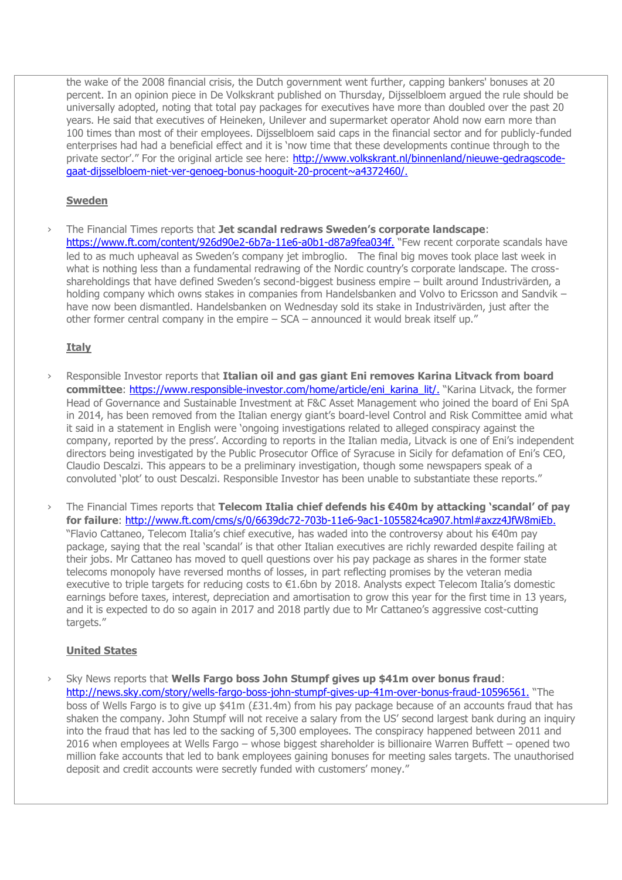the wake of the 2008 financial crisis, the Dutch government went further, capping bankers' bonuses at 20 percent. In an opinion piece in De Volkskrant published on Thursday, Dijsselbloem argued the rule should be universally adopted, noting that total pay packages for executives have more than doubled over the past 20 years. He said that executives of Heineken, Unilever and supermarket operator Ahold now earn more than 100 times than most of their employees. Dijsselbloem said caps in the financial sector and for publicly-funded enterprises had had a beneficial effect and it is 'now time that these developments continue through to the private sector'." For the original article see here: [http://www.volkskrant.nl/binnenland/nieuwe-gedragscode](http://www.volkskrant.nl/binnenland/nieuwe-gedragscode-gaat-dijsselbloem-niet-ver-genoeg-bonus-hooguit-20-procent~a4372460/)[gaat-dijsselbloem-niet-ver-genoeg-bonus-hooguit-20-procent~a4372460/](http://www.volkskrant.nl/binnenland/nieuwe-gedragscode-gaat-dijsselbloem-niet-ver-genoeg-bonus-hooguit-20-procent~a4372460/).

## **Sweden**

› The Financial Times reports that **Jet scandal redraws Sweden's corporate landscape**: <https://www.ft.com/content/926d90e2-6b7a-11e6-a0b1-d87a9fea034f>. "Few recent corporate scandals have led to as much upheaval as Sweden's company jet imbroglio. The final big moves took place last week in what is nothing less than a fundamental redrawing of the Nordic country's corporate landscape. The crossshareholdings that have defined Sweden's second-biggest business empire – built around Industrivärden, a holding company which owns stakes in companies from Handelsbanken and Volvo to Ericsson and Sandvik – have now been dismantled. Handelsbanken on Wednesday sold its stake in Industrivärden, just after the other former central company in the empire – SCA – announced it would break itself up."

### **Italy**

- › Responsible Investor reports that **Italian oil and gas giant Eni removes Karina Litvack from board committee**: [https://www.responsible-investor.com/home/article/eni\\_karina\\_lit/](https://www.responsible-investor.com/home/article/eni_karina_lit/). "Karina Litvack, the former Head of Governance and Sustainable Investment at F&C Asset Management who joined the board of Eni SpA in 2014, has been removed from the Italian energy giant's board-level Control and Risk Committee amid what it said in a statement in English were 'ongoing investigations related to alleged conspiracy against the company, reported by the press'. According to reports in the Italian media, Litvack is one of Eni's independent directors being investigated by the Public Prosecutor Office of Syracuse in Sicily for defamation of Eni's CEO, Claudio Descalzi. This appears to be a preliminary investigation, though some newspapers speak of a convoluted 'plot' to oust Descalzi. Responsible Investor has been unable to substantiate these reports."
- › The Financial Times reports that **Telecom Italia chief defends his €40m by attacking 'scandal' of pay for failure**:<http://www.ft.com/cms/s/0/6639dc72-703b-11e6-9ac1-1055824ca907.html#axzz4JfW8miEb>. "Flavio Cattaneo, Telecom Italia's chief executive, has waded into the controversy about his €40m pay package, saying that the real 'scandal' is that other Italian executives are richly rewarded despite failing at their jobs. Mr Cattaneo has moved to quell questions over his pay package as shares in the former state telecoms monopoly have reversed months of losses, in part reflecting promises by the veteran media executive to triple targets for reducing costs to €1.6bn by 2018. Analysts expect Telecom Italia's domestic earnings before taxes, interest, depreciation and amortisation to grow this year for the first time in 13 years, and it is expected to do so again in 2017 and 2018 partly due to Mr Cattaneo's aggressive cost-cutting targets."

#### **United States**

› Sky News reports that **Wells Fargo boss John Stumpf gives up \$41m over bonus fraud**: <http://news.sky.com/story/wells-fargo-boss-john-stumpf-gives-up-41m-over-bonus-fraud-10596561>. "The boss of Wells Fargo is to give up \$41m (£31.4m) from his pay package because of an accounts fraud that has shaken the company. John Stumpf will not receive a salary from the US' second largest bank during an inquiry into the fraud that has led to the sacking of 5,300 employees. The conspiracy happened between 2011 and 2016 when employees at Wells Fargo – whose biggest shareholder is billionaire Warren Buffett – opened two million fake accounts that led to bank employees gaining bonuses for meeting sales targets. The unauthorised deposit and credit accounts were secretly funded with customers' money."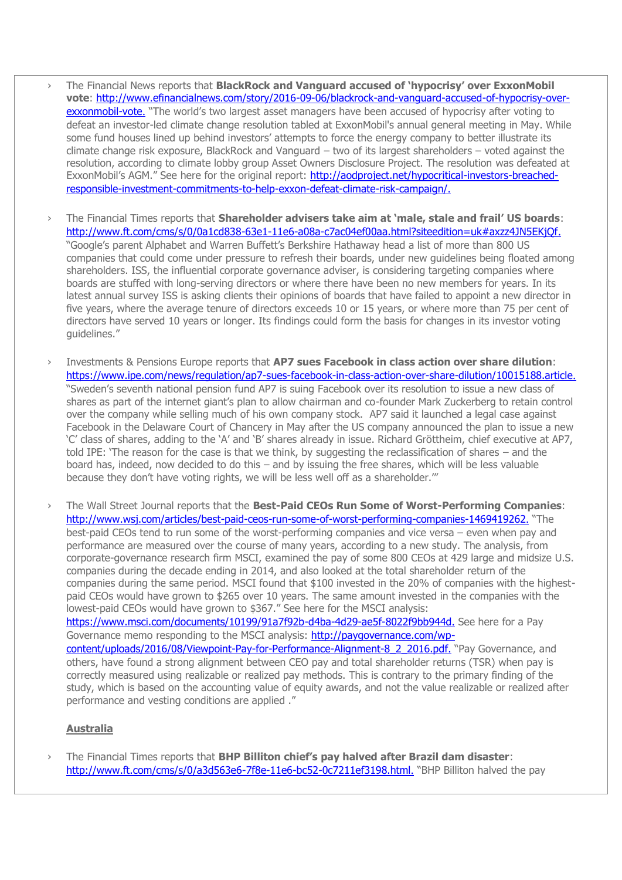- › The Financial News reports that **BlackRock and Vanguard accused of 'hypocrisy' over ExxonMobil vote**: [http://www.efinancialnews.com/story/2016-09-06/blackrock-and-vanguard-accused-of-hypocrisy-over](http://www.efinancialnews.com/story/2016-09-06/blackrock-and-vanguard-accused-of-hypocrisy-over-exxonmobil-vote)[exxonmobil-vote](http://www.efinancialnews.com/story/2016-09-06/blackrock-and-vanguard-accused-of-hypocrisy-over-exxonmobil-vote). "The world's two largest asset managers have been accused of hvpocrisv after voting to defeat an investor-led climate change resolution tabled at ExxonMobil's annual general meeting in May. While some fund houses lined up behind investors' attempts to force the energy company to better illustrate its climate change risk exposure, BlackRock and Vanguard – two of its largest shareholders – voted against the resolution, according to climate lobby group Asset Owners Disclosure Project. The resolution was defeated at ExxonMobil's AGM." See here for the original report: [http://aodproject.net/hypocritical-investors-breached](http://aodproject.net/hypocritical-investors-breached-responsible-investment-commitments-to-help-exxon-defeat-climate-risk-campaign/)[responsible-investment-commitments-to-help-exxon-defeat-climate-risk-campaign/](http://aodproject.net/hypocritical-investors-breached-responsible-investment-commitments-to-help-exxon-defeat-climate-risk-campaign/).
- › The Financial Times reports that **Shareholder advisers take aim at 'male, stale and frail' US boards**: <http://www.ft.com/cms/s/0/0a1cd838-63e1-11e6-a08a-c7ac04ef00aa.html?siteedition=uk#axzz4JN5EKjQf>. "Google's parent Alphabet and Warren Buffett's Berkshire Hathaway head a list of more than 800 US companies that could come under pressure to refresh their boards, under new guidelines being floated among shareholders. ISS, the influential corporate governance adviser, is considering targeting companies where boards are stuffed with long-serving directors or where there have been no new members for years. In its latest annual survey ISS is asking clients their opinions of boards that have failed to appoint a new director in five years, where the average tenure of directors exceeds 10 or 15 years, or where more than 75 per cent of directors have served 10 years or longer. Its findings could form the basis for changes in its investor voting guidelines."
- › Investments & Pensions Europe reports that **AP7 sues Facebook in class action over share dilution**: <https://www.ipe.com/news/regulation/ap7-sues-facebook-in-class-action-over-share-dilution/10015188.article>. "Sweden's seventh national pension fund AP7 is suing Facebook over its resolution to issue a new class of shares as part of the internet giant's plan to allow chairman and co-founder Mark Zuckerberg to retain control over the company while selling much of his own company stock. AP7 said it launched a legal case against Facebook in the Delaware Court of Chancery in May after the US company announced the plan to issue a new 'C' class of shares, adding to the 'A' and 'B' shares already in issue. Richard Gröttheim, chief executive at AP7, told IPE: 'The reason for the case is that we think, by suggesting the reclassification of shares – and the board has, indeed, now decided to do this – and by issuing the free shares, which will be less valuable because they don't have voting rights, we will be less well off as a shareholder.'"
- › The Wall Street Journal reports that the **Best-Paid CEOs Run Some of Worst-Performing Companies**: <http://www.wsj.com/articles/best-paid-ceos-run-some-of-worst-performing-companies-1469419262>. "The best-paid CEOs tend to run some of the worst-performing companies and vice versa – even when pay and performance are measured over the course of many years, according to a new study. The analysis, from corporate-governance research firm MSCI, examined the pay of some 800 CEOs at 429 large and midsize U.S. companies during the decade ending in 2014, and also looked at the total shareholder return of the companies during the same period. MSCI found that \$100 invested in the 20% of companies with the highestpaid CEOs would have grown to \$265 over 10 years. The same amount invested in the companies with the lowest-paid CEOs would have grown to \$367." See here for the MSCI analysis: <https://www.msci.com/documents/10199/91a7f92b-d4ba-4d29-ae5f-8022f9bb944d>. See here for a Pay

Governance memo responding to the MSCI analysis: [http://paygovernance.com/wp](http://paygovernance.com/wp-content/uploads/2016/08/Viewpoint-Pay-for-Performance-Alignment-8_2_2016.pdf)[content/uploads/2016/08/Viewpoint-Pay-for-Performance-Alignment-8\\_2\\_2016.pdf](http://paygovernance.com/wp-content/uploads/2016/08/Viewpoint-Pay-for-Performance-Alignment-8_2_2016.pdf). "Pay Governance, and others, have found a strong alignment between CEO pay and total shareholder returns (TSR) when pay is correctly measured using realizable or realized pay methods. This is contrary to the primary finding of the study, which is based on the accounting value of equity awards, and not the value realizable or realized after performance and vesting conditions are applied ."

### **Australia**

› The Financial Times reports that **BHP Billiton chief's pay halved after Brazil dam disaster**: <http://www.ft.com/cms/s/0/a3d563e6-7f8e-11e6-bc52-0c7211ef3198.html>. "BHP Billiton halved the pay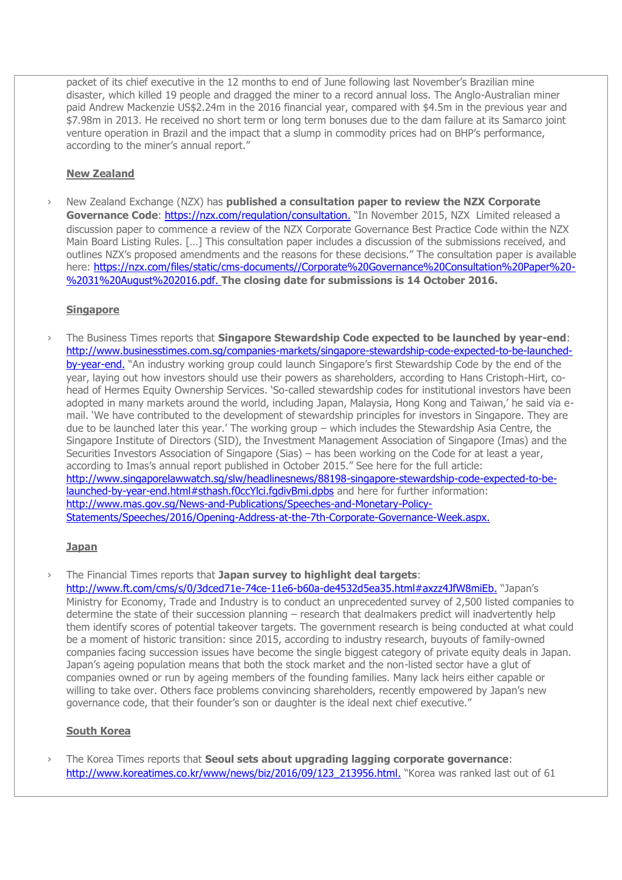packet of its chief executive in the 12 months to end of June following last November's Brazilian mine disaster, which killed 19 people and dragged the miner to a record annual loss. The Anglo-Australian miner paid Andrew Mackenzie US\$2.24m in the 2016 financial year, compared with \$4.5m in the previous year and \$7.98m in 2013. He received no short term or long term bonuses due to the dam failure at its Samarco joint venture operation in Brazil and the impact that a slump in commodity prices had on BHP's performance, according to the miner's annual report."

### **New Zealand**

› New Zealand Exchange (NZX) has **published a consultation paper to review the NZX Corporate**  Governance Code:<https://nzx.com/regulation/consultation>. "In November 2015, NZX Limited released a discussion paper to commence a review of the NZX Corporate Governance Best Practice Code within the NZX Main Board Listing Rules. […] This consultation paper includes a discussion of the submissions received, and outlines NZX's proposed amendments and the reasons for these decisions." The consultation paper is available here: [https://nzx.com/files/static/cms-documents//Corporate%20Governance%20Consultation%20Paper%20-](https://nzx.com/files/static/cms-documents/Corporate%20Governance%20Consultation%20Paper%20-%2031%20August%202016.pdf) [%2031%20August%202016.pdf](https://nzx.com/files/static/cms-documents/Corporate%20Governance%20Consultation%20Paper%20-%2031%20August%202016.pdf). **The closing date for submissions is 14 October 2016.**

### **Singapore**

› The Business Times reports that **Singapore Stewardship Code expected to be launched by year-end**: [http://www.businesstimes.com.sg/companies-markets/singapore-stewardship-code-expected-to-be-launched](http://www.businesstimes.com.sg/companies-markets/singapore-stewardship-code-expected-to-be-launched-by-year-end)[by-year-end](http://www.businesstimes.com.sg/companies-markets/singapore-stewardship-code-expected-to-be-launched-by-year-end). "An industry working group could launch Singapore's first Stewardship Code by the end of the year, laying out how investors should use their powers as shareholders, according to Hans Cristoph-Hirt, cohead of Hermes Equity Ownership Services. 'So-called stewardship codes for institutional investors have been adopted in many markets around the world, including Japan, Malaysia, Hong Kong and Taiwan,' he said via email. 'We have contributed to the development of stewardship principles for investors in Singapore. They are due to be launched later this year.' The working group – which includes the Stewardship Asia Centre, the Singapore Institute of Directors (SID), the Investment Management Association of Singapore (Imas) and the Securities Investors Association of Singapore (Sias) – has been working on the Code for at least a year, according to Imas's annual report published in October 2015." See here for the full article: [http://www.singaporelawwatch.sg/slw/headlinesnews/88198-singapore-stewardship-code-expected-to-be](http://www.singaporelawwatch.sg/slw/headlinesnews/88198-singapore-stewardship-code-expected-to-be-launched-by-year-end.html#sthash.f0ccYlci.fgdivBmi.dpbs)[launched-by-year-end.html#sthash.f0ccYlci.fgdivBmi.dpbs](http://www.singaporelawwatch.sg/slw/headlinesnews/88198-singapore-stewardship-code-expected-to-be-launched-by-year-end.html#sthash.f0ccYlci.fgdivBmi.dpbs) and here for further information: [http://www.mas.gov.sg/News-and-Publications/Speeches-and-Monetary-Policy-](http://www.mas.gov.sg/News-and-Publications/Speeches-and-Monetary-Policy-Statements/Speeches/2016/Opening-Address-at-the-7th-Corporate-Governance-Week.aspx)[Statements/Speeches/2016/Opening-Address-at-the-7th-Corporate-Governance-Week.aspx](http://www.mas.gov.sg/News-and-Publications/Speeches-and-Monetary-Policy-Statements/Speeches/2016/Opening-Address-at-the-7th-Corporate-Governance-Week.aspx).

#### **Japan**

› The Financial Times reports that **Japan survey to highlight deal targets**:

<http://www.ft.com/cms/s/0/3dced71e-74ce-11e6-b60a-de4532d5ea35.html#axzz4JfW8miEb>. "Japan's Ministry for Economy, Trade and Industry is to conduct an unprecedented survey of 2,500 listed companies to determine the state of their succession planning – research that dealmakers predict will inadvertently help them identify scores of potential takeover targets. The government research is being conducted at what could be a moment of historic transition: since 2015, according to industry research, buyouts of family-owned companies facing succession issues have become the single biggest category of private equity deals in Japan. Japan's ageing population means that both the stock market and the non-listed sector have a glut of companies owned or run by ageing members of the founding families. Many lack heirs either capable or willing to take over. Others face problems convincing shareholders, recently empowered by Japan's new governance code, that their founder's son or daughter is the ideal next chief executive."

#### **South Korea**

› The Korea Times reports that **Seoul sets about upgrading lagging corporate governance**: [http://www.koreatimes.co.kr/www/news/biz/2016/09/123\\_213956.html](http://www.koreatimes.co.kr/www/news/biz/2016/09/123_213956.html). "Korea was ranked last out of 61